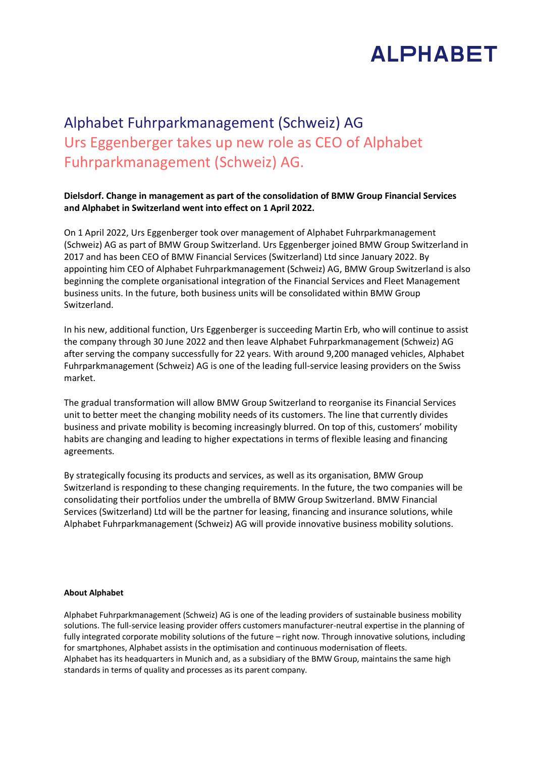## **ALPHABET**

## Alphabet Fuhrparkmanagement (Schweiz) AG Urs Eggenberger takes up new role as CEO of Alphabet Fuhrparkmanagement (Schweiz) AG.

## **Dielsdorf. Change in management as part of the consolidation of BMW Group Financial Services and Alphabet in Switzerland went into effect on 1 April 2022.**

On 1 April 2022, Urs Eggenberger took over management of Alphabet Fuhrparkmanagement (Schweiz) AG as part of BMW Group Switzerland. Urs Eggenberger joined BMW Group Switzerland in 2017 and has been CEO of BMW Financial Services (Switzerland) Ltd since January 2022. By appointing him CEO of Alphabet Fuhrparkmanagement (Schweiz) AG, BMW Group Switzerland is also beginning the complete organisational integration of the Financial Services and Fleet Management business units. In the future, both business units will be consolidated within BMW Group Switzerland.

In his new, additional function, Urs Eggenberger is succeeding Martin Erb, who will continue to assist the company through 30 June 2022 and then leave Alphabet Fuhrparkmanagement (Schweiz) AG after serving the company successfully for 22 years. With around 9,200 managed vehicles, Alphabet Fuhrparkmanagement (Schweiz) AG is one of the leading full-service leasing providers on the Swiss market.

The gradual transformation will allow BMW Group Switzerland to reorganise its Financial Services unit to better meet the changing mobility needs of its customers. The line that currently divides business and private mobility is becoming increasingly blurred. On top of this, customers' mobility habits are changing and leading to higher expectations in terms of flexible leasing and financing agreements.

By strategically focusing its products and services, as well as its organisation, BMW Group Switzerland is responding to these changing requirements. In the future, the two companies will be consolidating their portfolios under the umbrella of BMW Group Switzerland. BMW Financial Services (Switzerland) Ltd will be the partner for leasing, financing and insurance solutions, while Alphabet Fuhrparkmanagement (Schweiz) AG will provide innovative business mobility solutions.

## **About Alphabet**

Alphabet Fuhrparkmanagement (Schweiz) AG is one of the leading providers of sustainable business mobility solutions. The full-service leasing provider offers customers manufacturer-neutral expertise in the planning of fully integrated corporate mobility solutions of the future - right now. Through innovative solutions, including for smartphones, Alphabet assists in the optimisation and continuous modernisation of fleets. Alphabet has its headquarters in Munich and, as a subsidiary of the BMW Group, maintains the same high standards in terms of quality and processes as its parent company.